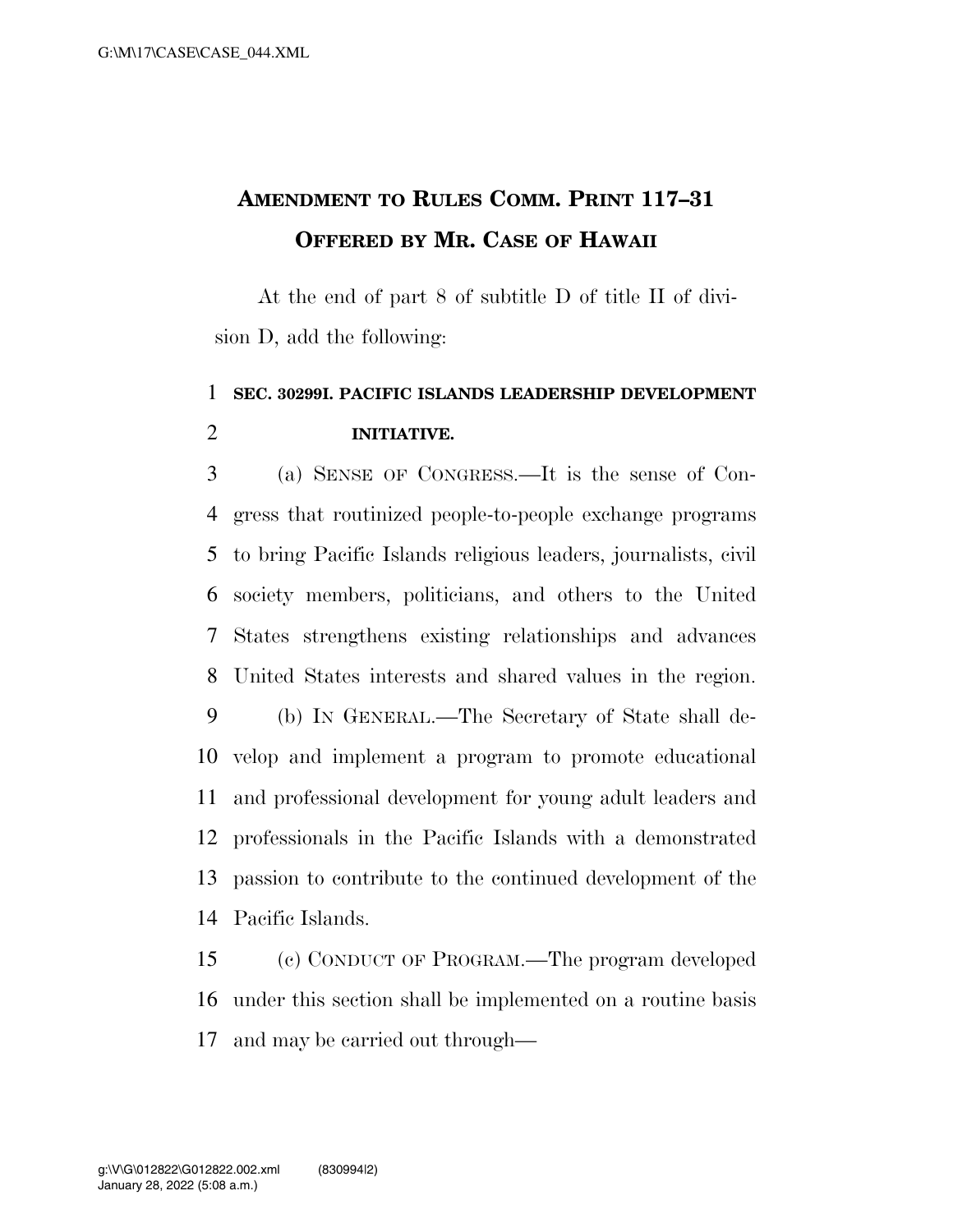## **AMENDMENT TO RULES COMM. PRINT 117–31 OFFERED BY MR. CASE OF HAWAII**

At the end of part 8 of subtitle D of title II of division D, add the following:

## **SEC. 30299I. PACIFIC ISLANDS LEADERSHIP DEVELOPMENT INITIATIVE.**

 (a) SENSE OF CONGRESS.—It is the sense of Con- gress that routinized people-to-people exchange programs to bring Pacific Islands religious leaders, journalists, civil society members, politicians, and others to the United States strengthens existing relationships and advances United States interests and shared values in the region. (b) IN GENERAL.—The Secretary of State shall de- velop and implement a program to promote educational and professional development for young adult leaders and

 professionals in the Pacific Islands with a demonstrated passion to contribute to the continued development of the Pacific Islands.

 (c) CONDUCT OF PROGRAM.—The program developed under this section shall be implemented on a routine basis and may be carried out through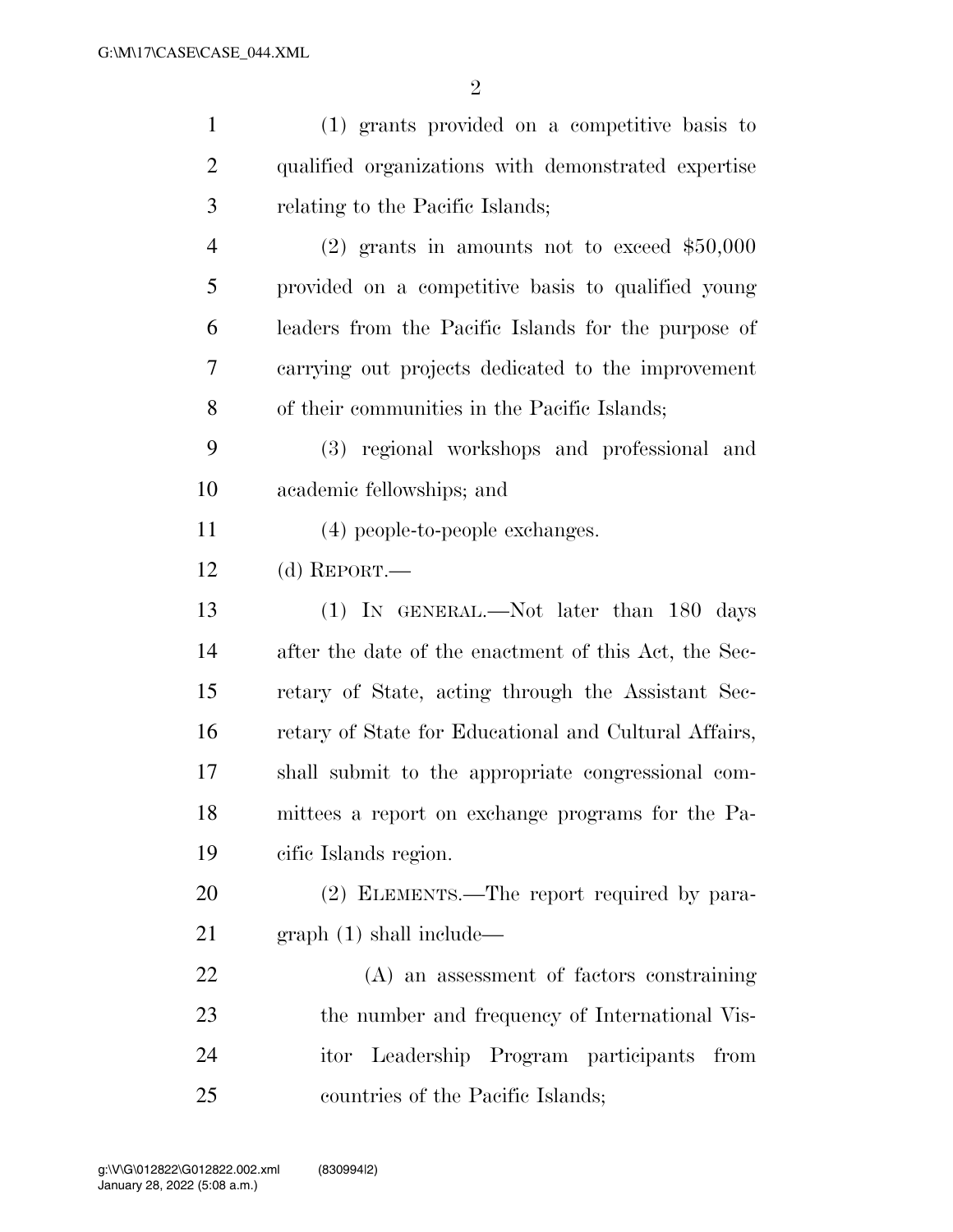| $\mathbf{1}$   | (1) grants provided on a competitive basis to         |
|----------------|-------------------------------------------------------|
| $\overline{2}$ | qualified organizations with demonstrated expertise   |
| 3              | relating to the Pacific Islands;                      |
| 4              | $(2)$ grants in amounts not to exceed \$50,000        |
| 5              | provided on a competitive basis to qualified young    |
| 6              | leaders from the Pacific Islands for the purpose of   |
| 7              | carrying out projects dedicated to the improvement    |
| 8              | of their communities in the Pacific Islands;          |
| 9              | (3) regional workshops and professional and           |
| 10             | academic fellowships; and                             |
| 11             | (4) people-to-people exchanges.                       |
| 12             | (d) REPORT.—                                          |
| 13             | (1) IN GENERAL.—Not later than 180 days               |
| 14             | after the date of the enactment of this Act, the Sec- |
| 15             | retary of State, acting through the Assistant Sec-    |
| 16             | retary of State for Educational and Cultural Affairs, |
| 17             | shall submit to the appropriate congressional com-    |
| 18             | mittees a report on exchange programs for the Pa-     |
| 19             | cific Islands region.                                 |
| 20             | (2) ELEMENTS.—The report required by para-            |
| 21             | graph(1) shall include—                               |
| 22             | (A) an assessment of factors constraining             |
| 23             | the number and frequency of International Vis-        |
| 24             | Leadership Program participants<br>itor<br>from       |
| 25             | countries of the Pacific Islands;                     |